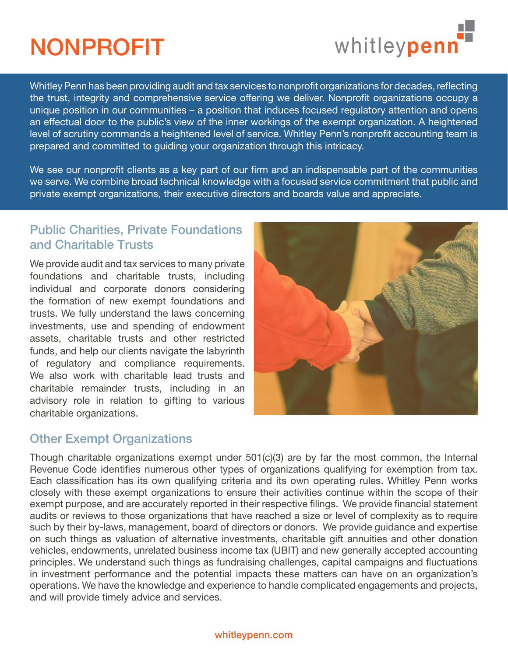# NONPROFIT



Whitley Penn has been providing audit and tax services to nonprofit organizations for decades, reflecting the trust, integrity and comprehensive service offering we deliver. Nonprofit organizations occupy a unique position in our communities – a position that induces focused regulatory attention and opens an effectual door to the public's view of the inner workings of the exempt organization. A heightened level of scrutiny commands a heightened level of service. Whitley Penn's nonprofit accounting team is prepared and committed to guiding your organization through this intricacy.

We see our nonprofit clients as a key part of our firm and an indispensable part of the communities we serve. We combine broad technical knowledge with a focused service commitment that public and private exempt organizations, their executive directors and boards value and appreciate.

### Public Charities, Private Foundations and Charitable Trusts

We provide audit and tax services to many private foundations and charitable trusts, including individual and corporate donors considering the formation of new exempt foundations and trusts. We fully understand the laws concerning investments, use and spending of endowment assets, charitable trusts and other restricted funds, and help our clients navigate the labyrinth of regulatory and compliance requirements. We also work with charitable lead trusts and charitable remainder trusts, including in an advisory role in relation to gifting to various charitable organizations.



## Other Exempt Organizations

Though charitable organizations exempt under 501(c)(3) are by far the most common, the Internal Revenue Code identifies numerous other types of organizations qualifying for exemption from tax. Each classification has its own qualifying criteria and its own operating rules. Whitley Penn works closely with these exempt organizations to ensure their activities continue within the scope of their exempt purpose, and are accurately reported in their respective filings. We provide financial statement audits or reviews to those organizations that have reached a size or level of complexity as to require such by their by-laws, management, board of directors or donors. We provide guidance and expertise on such things as valuation of alternative investments, charitable gift annuities and other donation vehicles, endowments, unrelated business income tax (UBIT) and new generally accepted accounting principles. We understand such things as fundraising challenges, capital campaigns and fluctuations in investment performance and the potential impacts these matters can have on an organization's operations. We have the knowledge and experience to handle complicated engagements and projects, and will provide timely advice and services.